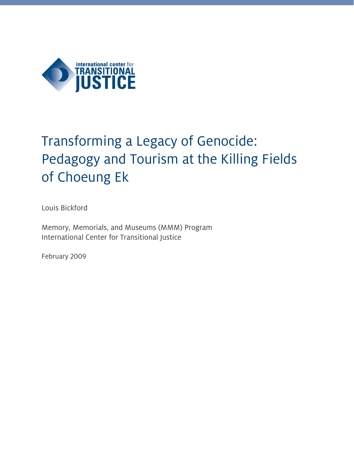

# Transforming a Legacy of Genocide: Pedagogy and Tourism at the Killing Fields of Choeung Ek

Louis Bickford

Memory, Memorials, and Museums (MMM) Program International Center for Transitional Justice

February 2009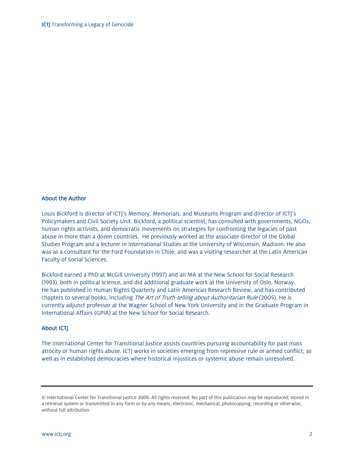#### About the Author

Louis Bickford is director of ICTJ's Memory, Memorials, and Museums Program and director of ICTJ's Policymakers and Civil Society Unit. Bickford, a political scientist, has consulted with governments, NGOs, human rights activists, and democratic movements on strategies for confronting the legacies of past abuse in more than a dozen countries. He previously worked as the associate director of the Global Studies Program and a lecturer in International Studies at the University of Wisconsin, Madison. He also was as a consultant for the Ford Foundation in Chile, and was a visiting researcher at the Latin American Faculty of Social Sciences.

Bickford earned a PhD at McGill University (1997) and an MA at the New School for Social Research (1993), both in political science, and did additional graduate work at the University of Oslo, Norway. He has published in Human Rights Quarterly and Latin American Research Review, and has contributed chapters to several books, including The Art of Truth-telling about Authoritarian Rule (2005). He is currently adjunct professor at the Wagner School of New York University and in the Graduate Program in International Affairs (GPIA) at the New School for Social Research.

#### **About ICTJ**

The International Center for Transitional Justice assists countries pursuing accountability for past mass atrocity or human rights abuse. ICTJ works in societies emerging from repressive rule or armed conflict, as well as in established democracies where historical injustices or systemic abuse remain unresolved.

<sup>©</sup> International Center for Transitional Justice 2009. All rights reserved. No part of this publication may be reproduced, stored in a retrieval system or transmitted in any form or by any means, electronic, mechanical, photocopying, recording or otherwise, without full attribution.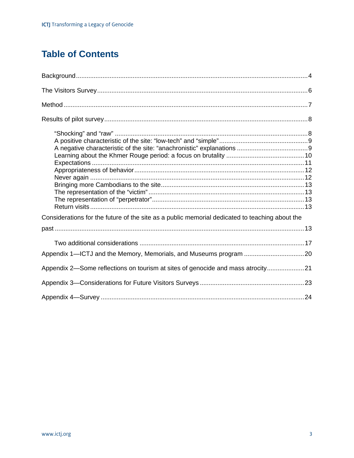# **Table of Contents**

| Considerations for the future of the site as a public memorial dedicated to teaching about the |  |
|------------------------------------------------------------------------------------------------|--|
|                                                                                                |  |
|                                                                                                |  |
|                                                                                                |  |
| Appendix 2—Some reflections on tourism at sites of genocide and mass atrocity21                |  |
|                                                                                                |  |
|                                                                                                |  |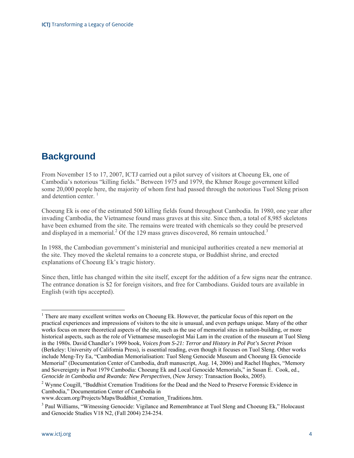# **Background**

From November 15 to 17, 2007, ICTJ carried out a pilot survey of visitors at Choeung Ek, one of Cambodia's notorious "killing fields." Between 1975 and 1979, the Khmer Rouge government killed some 20,000 people here, the majority of whom first had passed through the notorious Tuol Sleng prison and detention center.  $\frac{1}{1}$ 

Choeung Ek is one of the estimated 500 killing fields found throughout Cambodia. In 1980, one year after invading Cambodia, the Vietnamese found mass graves at this site. Since then, a total of 8,985 skeletons have been exhumed from the site. The remains were treated with chemicals so they could be preserved and displayed in a memorial.<sup>2</sup> Of the 129 mass graves discovered, 86 remain untouched.<sup>3</sup>

In 1988, the Cambodian government's ministerial and municipal authorities created a new memorial at the site. They moved the skeletal remains to a concrete stupa, or Buddhist shrine, and erected explanations of Choeung Ek's tragic history.

Since then, little has changed within the site itself, except for the addition of a few signs near the entrance. The entrance donation is \$2 for foreign visitors, and free for Cambodians. Guided tours are available in English (with tips accepted).

<sup>2</sup> Wynne Cougill, "Buddhist Cremation Traditions for the Dead and the Need to Preserve Forensic Evidence in Cambodia," Documentation Center of Cambodia in

<sup>&</sup>lt;sup>1</sup> There are many excellent written works on Choeung Ek. However, the particular focus of this report on the practical experiences and impressions of visitors to the site is unusual, and even perhaps unique. Many of the other works focus on more theoretical aspects of the site, such as the use of memorial sites in nation-building, or more historical aspects, such as the role of Vietnamese museologist Mai Lam in the creation of the museum at Tuol Sleng in the 1980s. David Chandler's 1999 book, *Voices from S-21: Terror and History in Pol Pot's Secret Prison* (Berkeley: University of California Press), is essential reading, even though it focuses on Tuol Sleng. Other works include Meng-Try Ea, "Cambodian Memorialisation: Tuol Sleng Genocide Museum and Choeung Ek Genocide Memorial" (Documentation Center of Cambodia, draft manuscript, Aug. 14, 2006) and Rachel Hughes, "Memory and Sovereignty in Post 1979 Cambodia: Choeung Ek and Local Genocide Memorials," in Susan E. Cook, ed., *Genocide in Cambodia and Rwanda: New Perspectives,* (New Jersey: Transaction Books, 2005).

www.dccam.org/Projects/Maps/Buddhist\_Cremation\_Traditions.htm.

<sup>&</sup>lt;sup>3</sup> Paul Williams, "Witnessing Genocide: Vigilance and Remembrance at Tuol Sleng and Choeung Ek," Holocaust and Genocide Studies V18 N2, (Fall 2004) 234-254.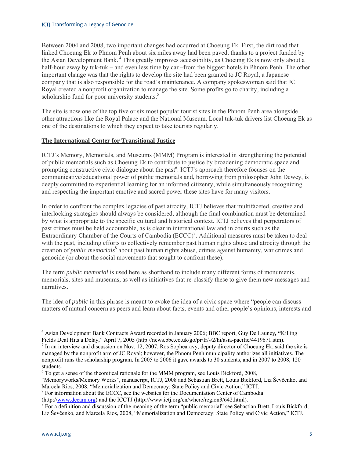Between 2004 and 2008, two important changes had occurred at Choeung Ek. First, the dirt road that linked Choeung Ek to Phnom Penh about six miles away had been paved, thanks to a project funded by the Asian Development Bank. 4 This greatly improves accessibility, as Choeung Ek is now only about a half-hour away by tuk-tuk – and even less time by car –from the biggest hotels in Phnom Penh. The other important change was that the rights to develop the site had been granted to JC Royal, a Japanese company that is also responsible for the road's maintenance. A company spokeswoman said that JC Royal created a nonprofit organization to manage the site. Some profits go to charity, including a scholarship fund for poor university students.<sup>5</sup>

The site is now one of the top five or six most popular tourist sites in the Phnom Penh area alongside other attractions like the Royal Palace and the National Museum. Local tuk-tuk drivers list Choeung Ek as one of the destinations to which they expect to take tourists regularly.

#### **The International Center for Transitional Justice**

ICTJ's Memory, Memorials, and Museums (MMM) Program is interested in strengthening the potential of public memorials such as Choeung Ek to contribute to justice by broadening democratic space and prompting constructive civic dialogue about the past<sup>6</sup>. ICTJ's approach therefore focuses on the communicative/educational power of public memorials and, borrowing from philosopher John Dewey, is deeply committed to experiential learning for an informed citizenry, while simultaneously recognizing and respecting the important emotive and sacred power these sites have for many visitors.

In order to confront the complex legacies of past atrocity, ICTJ believes that multifaceted, creative and interlocking strategies should always be considered, although the final combination must be determined by what is appropriate to the specific cultural and historical context. ICTJ believes that perpetrators of past crimes must be held accountable, as is clear in international law and in courts such as the Extraordinary Chamber of the Courts of Cambodia  $(ECCC)^7$ . Additional measures must be taken to deal with the past, including efforts to collectively remember past human rights abuse and atrocity through the creation of *public memorials*<sup>8</sup> about past human rights abuse, crimes against humanity, war crimes and genocide (or about the social movements that sought to confront these).

The term *public memorial* is used here as shorthand to include many different forms of monuments, memorials, sites and museums, as well as initiatives that re-classify these to give them new messages and narratives.

The idea of *public* in this phrase is meant to evoke the idea of a civic space where "people can discuss matters of mutual concern as peers and learn about facts, events and other people's opinions, interests and

 $^7$  For information about the ECCC, see the websites for the Documentation Center of Cambodia

(http://www.dccam.org) and the ICCTJ (http://www.ictj.org/en/where/region3/642.html). 8

 4 Asian Development Bank Contracts Award recorded in January 2006; BBC report, Guy De Launey**, "**Killing Fields Deal Hits a Delay," April 7, 2005 (http://news.bbc.co.uk/go/pr/fr/-/2/hi/asia-pacific/4419671.stm).

 $<sup>5</sup>$  In an interview and discussion on Nov. 12, 2007, Ros Sophearavy, deputy director of Choeung Ek, said the site is</sup> managed by the nonprofit arm of JC Royal; however, the Phnom Penh municipality authorizes all initiatives. The nonprofit runs the scholarship program. In 2005 to 2006 it gave awards to 30 students, and in 2007 to 2008, 120 students.

 $6$  To get a sense of the theoretical rationale for the MMM program, see Louis Bickford, 2008,

<sup>&</sup>quot;Memoryworks/Memory Works", manuscript, ICTJ, 2008 and Sebastian Brett, Louis Bickford, Liz Ševčenko, and Marcela Rios, 2008, "Memorialization and Democracy: State Policy and Civic Action," ICTJ. 7

<sup>&</sup>lt;sup>8</sup> For a definition and discussion of the meaning of the term "public memorial" see Sebastian Brett, Louis Bickford, Liz Ševčenko, and Marcela Rios, 2008, "Memorialization and Democracy: State Policy and Civic Action," ICTJ.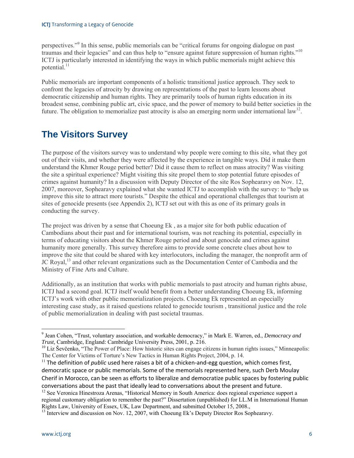perspectives."<sup>9</sup> In this sense, public memorials can be "critical forums for ongoing dialogue on past traumas and their legacies" and can thus help to "ensure against future suppression of human rights."<sup>10</sup> ICTJ is particularly interested in identifying the ways in which public memorials might achieve this potential. $11$ 

Public memorials are important components of a holistic transitional justice approach. They seek to confront the legacies of atrocity by drawing on representations of the past to learn lessons about democratic citizenship and human rights. They are primarily tools of human rights education in its broadest sense, combining public art, civic space, and the power of memory to build better societies in the future. The obligation to memorialize past atrocity is also an emerging norm under international  $\text{law}^{12}$ .

# **The Visitors Survey**

The purpose of the visitors survey was to understand why people were coming to this site, what they got out of their visits, and whether they were affected by the experience in tangible ways. Did it make them understand the Khmer Rouge period better? Did it cause them to reflect on mass atrocity? Was visiting the site a spiritual experience? Might visiting this site propel them to stop potential future episodes of crimes against humanity? In a discussion with Deputy Director of the site Ros Sophearavy on Nov. 12, 2007, moreover, Sophearavy explained what she wanted ICTJ to accomplish with the survey: to "help us improve this site to attract more tourists." Despite the ethical and operational challenges that tourism at sites of genocide presents (see Appendix 2), ICTJ set out with this as one of its primary goals in conducting the survey.

The project was driven by a sense that Choeung Ek , as a major site for both public education of Cambodians about their past and for international tourism, was not reaching its potential, especially in terms of educating visitors about the Khmer Rouge period and about genocide and crimes against humanity more generally. This survey therefore aims to provide some concrete clues about how to improve the site that could be shared with key interlocutors, including the manager, the nonprofit arm of JC Royal,<sup>13</sup> and other relevant organizations such as the Documentation Center of Cambodia and the Ministry of Fine Arts and Culture.

Additionally, as an institution that works with public memorials to past atrocity and human rights abuse, ICTJ had a second goal. ICTJ itself would benefit from a better understanding Choeung Ek, informing ICTJ's work with other public memorialization projects. Choeung Ek represented an especially interesting case study, as it raised questions related to genocide tourism , transitional justice and the role of public memorialization in dealing with past societal traumas.

<sup>9</sup> Jean Cohen, "Trust, voluntary association, and workable democracy," in Mark E. Warren, ed., *Democracy and Trust,* Cambridge, England: Cambridge University Press, 2001, p. 216.<br><sup>10</sup> Liz Ševčenko, "The Power of Place: How historic sites can engage citizens in human rights issues," Minneapolis:

The Center for Victims of Torture's New Tactics in Human Rights Project, 2004, p. 14.

<sup>&</sup>lt;sup>11</sup> The definition of *public* used here raises a bit of a chicken-and-egg question, which comes first, democratic space or public memorials. Some of the memorials represented here, such Derb Moulay Cherif in Morocco, can be seen as efforts to liberalize and democratize public spaces by fostering public conversations about the past that ideally lead to conversations about the present and future. 12 See Veronica Hinestroza Arenas, "Historical Memory in South America: does regional experience support a

regional customary obligation to remember the past?" Dissertation (unpublished) for LL.M in International Human Rights Law, University of Essex, UK, Law Department, and submitted October 15, 2008., 13 Interview and discussion on Nov. 12, 2007, with Choeung Ek's Deputy Director Ros Sophearavy.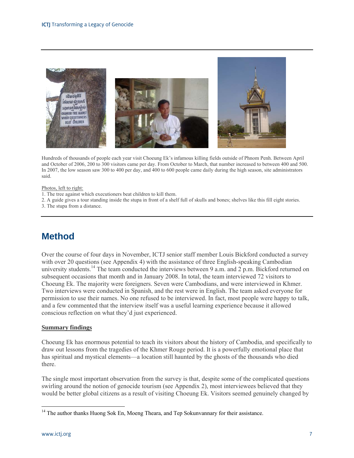

Hundreds of thousands of people each year visit Choeung Ek's infamous killing fields outside of Phnom Penh. Between April and October of 2006, 200 to 300 visitors came per day. From October to March, that number increased to between 400 and 500. In 2007, the low season saw 300 to 400 per day, and 400 to 600 people came daily during the high season, site administrators said.

#### Photos, left to right:

- 1. The tree against which executioners beat children to kill them.
- 2. A guide gives a tour standing inside the stupa in front of a shelf full of skulls and bones; shelves like this fill eight stories.
- 3. The stupa from a distance.

# **Method**

Over the course of four days in November, ICTJ senior staff member Louis Bickford conducted a survey with over 20 questions (see Appendix 4) with the assistance of three English-speaking Cambodian university students.<sup>14</sup> The team conducted the interviews between 9 a.m. and 2 p.m. Bickford returned on subsequent occasions that month and in January 2008. In total, the team interviewed 72 visitors to Choeung Ek. The majority were foreigners. Seven were Cambodians, and were interviewed in Khmer. Two interviews were conducted in Spanish, and the rest were in English. The team asked everyone for permission to use their names. No one refused to be interviewed. In fact, most people were happy to talk, and a few commented that the interview itself was a useful learning experience because it allowed conscious reflection on what they'd just experienced.

#### **Summary findings**

Choeung Ek has enormous potential to teach its visitors about the history of Cambodia, and specifically to draw out lessons from the tragedies of the Khmer Rouge period. It is a powerfully emotional place that has spiritual and mystical elements—a location still haunted by the ghosts of the thousands who died there.

The single most important observation from the survey is that, despite some of the complicated questions swirling around the notion of genocide tourism (see Appendix 2), most interviewees believed that they would be better global citizens as a result of visiting Choeung Ek. Visitors seemed genuinely changed by

<sup>&</sup>lt;sup>14</sup> The author thanks Huong Sok En, Moeng Theara, and Tep Sokunvannary for their assistance.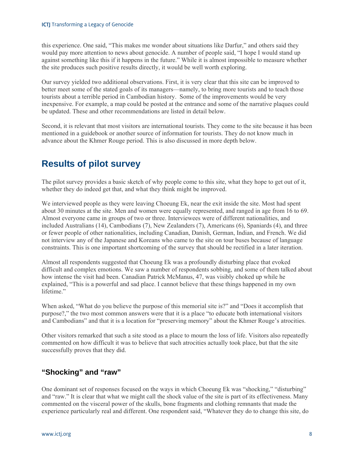this experience. One said, "This makes me wonder about situations like Darfur," and others said they would pay more attention to news about genocide. A number of people said, "I hope I would stand up against something like this if it happens in the future." While it is almost impossible to measure whether the site produces such positive results directly, it would be well worth exploring.

Our survey yielded two additional observations. First, it is very clear that this site can be improved to better meet some of the stated goals of its managers—namely, to bring more tourists and to teach those tourists about a terrible period in Cambodian history. Some of the improvements would be very inexpensive. For example, a map could be posted at the entrance and some of the narrative plaques could be updated. These and other recommendations are listed in detail below.

Second, it is relevant that most visitors are international tourists. They come to the site because it has been mentioned in a guidebook or another source of information for tourists. They do not know much in advance about the Khmer Rouge period. This is also discussed in more depth below.

# **Results of pilot survey**

The pilot survey provides a basic sketch of why people come to this site, what they hope to get out of it, whether they do indeed get that, and what they think might be improved.

We interviewed people as they were leaving Choeung Ek, near the exit inside the site. Most had spent about 30 minutes at the site. Men and women were equally represented, and ranged in age from 16 to 69. Almost everyone came in groups of two or three. Interviewees were of different nationalities, and included Australians (14), Cambodians (7), New Zealanders (7), Americans (6), Spaniards (4), and three or fewer people of other nationalities, including Canadian, Danish, German, Indian, and French. We did not interview any of the Japanese and Koreans who came to the site on tour buses because of language constraints. This is one important shortcoming of the survey that should be rectified in a later iteration.

Almost all respondents suggested that Choeung Ek was a profoundly disturbing place that evoked difficult and complex emotions. We saw a number of respondents sobbing, and some of them talked about how intense the visit had been. Canadian Patrick McManus, 47, was visibly choked up while he explained, "This is a powerful and sad place. I cannot believe that these things happened in my own lifetime."

When asked, "What do you believe the purpose of this memorial site is?" and "Does it accomplish that purpose?," the two most common answers were that it is a place "to educate both international visitors and Cambodians" and that it is a location for "preserving memory" about the Khmer Rouge's atrocities.

Other visitors remarked that such a site stood as a place to mourn the loss of life. Visitors also repeatedly commented on how difficult it was to believe that such atrocities actually took place, but that the site successfully proves that they did.

# **"Shocking" and "raw"**

One dominant set of responses focused on the ways in which Choeung Ek was "shocking," "disturbing" and "raw." It is clear that what we might call the shock value of the site is part of its effectiveness. Many commented on the visceral power of the skulls, bone fragments and clothing remnants that made the experience particularly real and different. One respondent said, "Whatever they do to change this site, do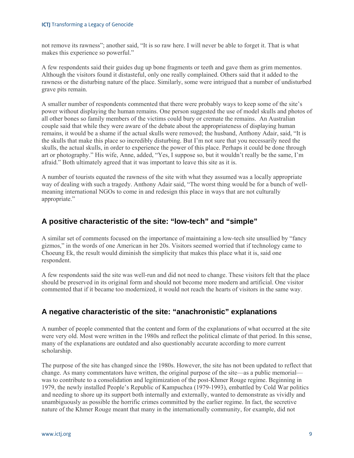not remove its rawness"; another said, "It is so raw here. I will never be able to forget it. That is what makes this experience so powerful."

A few respondents said their guides dug up bone fragments or teeth and gave them as grim mementos. Although the visitors found it distasteful, only one really complained. Others said that it added to the rawness or the disturbing nature of the place. Similarly, some were intrigued that a number of undisturbed grave pits remain.

A smaller number of respondents commented that there were probably ways to keep some of the site's power without displaying the human remains. One person suggested the use of model skulls and photos of all other bones so family members of the victims could bury or cremate the remains. An Australian couple said that while they were aware of the debate about the appropriateness of displaying human remains, it would be a shame if the actual skulls were removed; the husband, Anthony Adair, said, "It is the skulls that make this place so incredibly disturbing. But I'm not sure that you necessarily need the skulls, the actual skulls, in order to experience the power of this place. Perhaps it could be done through art or photography." His wife, Anne, added, "Yes, I suppose so, but it wouldn't really be the same, I'm afraid." Both ultimately agreed that it was important to leave this site as it is.

A number of tourists equated the rawness of the site with what they assumed was a locally appropriate way of dealing with such a tragedy. Anthony Adair said, "The worst thing would be for a bunch of wellmeaning international NGOs to come in and redesign this place in ways that are not culturally appropriate."

### **A positive characteristic of the site: "low-tech" and "simple"**

A similar set of comments focused on the importance of maintaining a low-tech site unsullied by "fancy gizmos," in the words of one American in her 20s. Visitors seemed worried that if technology came to Choeung Ek, the result would diminish the simplicity that makes this place what it is, said one respondent.

A few respondents said the site was well-run and did not need to change. These visitors felt that the place should be preserved in its original form and should not become more modern and artificial. One visitor commented that if it became too modernized, it would not reach the hearts of visitors in the same way.

# **A negative characteristic of the site: "anachronistic" explanations**

A number of people commented that the content and form of the explanations of what occurred at the site were very old. Most were written in the 1980s and reflect the political climate of that period. In this sense, many of the explanations are outdated and also questionably accurate according to more current scholarship.

The purpose of the site has changed since the 1980s. However, the site has not been updated to reflect that change. As many commentators have written, the original purpose of the site—as a public memorial was to contribute to a consolidation and legitimization of the post-Khmer Rouge regime. Beginning in 1979, the newly installed People's Republic of Kampuchea (1979-1993), embattled by Cold War politics and needing to shore up its support both internally and externally, wanted to demonstrate as vividly and unambiguously as possible the horrific crimes committed by the earlier regime. In fact, the secretive nature of the Khmer Rouge meant that many in the internationally community, for example, did not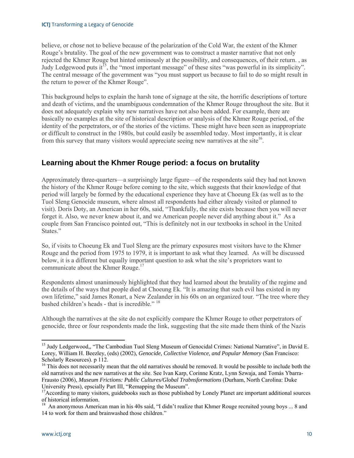believe, or *chose* not to believe because of the polarization of the Cold War, the extent of the Khmer Rouge's brutality. The goal of the new government was to construct a master narrative that not only rejected the Khmer Rouge but hinted ominously at the possibility, and consequences, of their return. , as Judy Ledgewood puts it<sup>15</sup>, the "most important message" of these sites "was powerful in its simplicity". The central message of the government was "you must support us because to fail to do so might result in the return to power of the Khmer Rouge".

This background helps to explain the harsh tone of signage at the site, the horrific descriptions of torture and death of victims, and the unambiguous condemnation of the Khmer Rouge throughout the site. But it does not adequately explain why new narratives have not also been added. For example, there are basically no examples at the site of historical description or analysis of the Khmer Rouge period, of the identity of the perpetrators, or of the stories of the victims. These might have been seen as inappropriate or difficult to construct in the 1980s, but could easily be assembled today. Most importantly, it is clear from this survey that many visitors would appreciate seeing new narratives at the site<sup>16</sup>.

### **Learning about the Khmer Rouge period: a focus on brutality**

Approximately three-quarters—a surprisingly large figure—of the respondents said they had not known the history of the Khmer Rouge before coming to the site, which suggests that their knowledge of that period will largely be formed by the educational experience they have at Choeung Ek (as well as to the Tuol Sleng Genocide museum, where almost all respondents had either already visited or planned to visit). Doris Doty, an American in her 60s, said, "Thankfully, the site exists because then you will never forget it. Also, we never knew about it, and we American people never did anything about it." As a couple from San Francisco pointed out, "This is definitely not in our textbooks in school in the United States."

So, if visits to Choeung Ek and Tuol Sleng are the primary exposures most visitors have to the Khmer Rouge and the period from 1975 to 1979, it is important to ask what they learned. As will be discussed below, it is a different but equally important question to ask what the site's proprietors want to communicate about the Khmer Rouge.<sup>17</sup>

Respondents almost unanimously highlighted that they had learned about the brutality of the regime and the details of the ways that people died at Choeung Ek. "It is amazing that such evil has existed in my own lifetime," said James Ronart, a New Zealander in his 60s on an organized tour. "The tree where they bashed children's heads - that is incredible." 18

Although the narratives at the site do not explicitly compare the Khmer Rouge to other perpetrators of genocide, three or four respondents made the link, suggesting that the site made them think of the Nazis

<sup>&</sup>lt;sup>15</sup> Judy Ledgerwood,, "The Cambodian Tuol Sleng Museum of Genocidal Crimes: National Narrative", in David E. Lorey, William H. Beezley, (eds) (2002), *Genocide, Collective Violence, and Popular Memory* (San Francisco: Scholarly Resources). p 112.

 $16$  This does not necessarily mean that the old narratives should be removed. It would be possible to include both the old narratives and the new narratives at the site. See Ivan Karp, Corinne Kratz, Lynn Szwaja, and Tomás Ybarra-Frausto (2006), *Museum Frictions: Public Cultures/Global Trabnsformations* (Durham, North Carolina: Duke University Press), epscially Part III, "Remapping the Museum".<br><sup>17</sup>According to many visitors, guidebooks such as those published by Lonely Planet are important additional sources

of historical information.

<sup>&</sup>lt;sup>18</sup> An anonymous American man in his 40s said, "I didn't realize that Khmer Rouge recruited young boys ... 8 and 14 to work for them and brainwashed those children."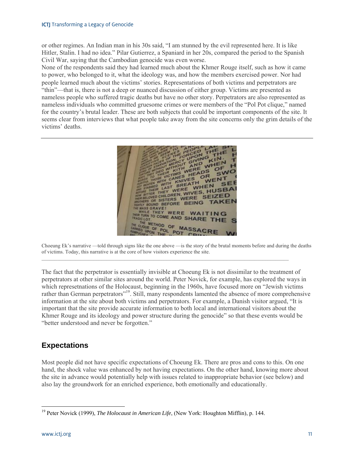or other regimes. An Indian man in his 30s said, "I am stunned by the evil represented here. It is like Hitler, Stalin. I had no idea." Pilar Gutierrez, a Spaniard in her 20s, compared the period to the Spanish Civil War, saying that the Cambodian genocide was even worse.

None of the respondents said they had learned much about the Khmer Rouge itself, such as how it came to power, who belonged to it, what the ideology was, and how the members exercised power. Nor had people learned much about the victims' stories. Representations of both victims and perpetrators are "thin"—that is, there is not a deep or nuanced discussion of either group. Victims are presented as nameless people who suffered tragic deaths but have no other story. Perpetrators are also represented as nameless individuals who committed gruesome crimes or were members of the "Pol Pot clique," named for the country's brutal leader. These are both subjects that could be important components of the site. It seems clear from interviews that what people take away from the site concerns only the grim details of the victims' deaths.



Choeung Ek's narrative —told through signs like the one above —is the story of the brutal moments before and during the deaths of victims. Today, this narrative is at the core of how visitors experience the site.

 $\mathcal{L}_\mathcal{L} = \mathcal{L}_\mathcal{L}$ 

The fact that the perpetrator is essentially invisible at Choeung Ek is not dissimilar to the treatment of perpetrators at other similar sites around the world. Peter Novick, for example, has explored the ways in which represetnations of the Holocaust, beginning in the 1960s, have focused more on "Jewish victims rather than German perpetrators"19. Still, many respondents lamented the absence of more comprehensive information at the site about both victims and perpetrators. For example, a Danish visitor argued, "It is important that the site provide accurate information to both local and international visitors about the Khmer Rouge and its ideology and power structure during the genocide" so that these events would be "better understood and never be forgotten."

# **Expectations**

Most people did not have specific expectations of Choeung Ek. There are pros and cons to this. On one hand, the shock value was enhanced by not having expectations. On the other hand, knowing more about the site in advance would potentially help with issues related to inappropriate behavior (see below) and also lay the groundwork for an enriched experience, both emotionally and educationally.

<sup>19</sup> Peter Novick (1999), *The Holocaust in American Life*, (New York: Houghton Mifflin), p. 144.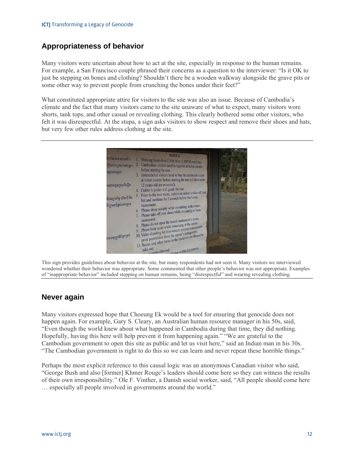### **Appropriateness of behavior**

Many visitors were uncertain about how to act at the site, especially in response to the human remains. For example, a San Francisco couple phrased their concerns as a question to the interviewer: "Is it OK to just be stepping on bones and clothing? Shouldn't there be a wooden walkway alongside the grave pits or some other way to prevent people from crunching the bones under their feet?"

What constituted appropriate attire for visitors to the site was also an issue. Because of Cambodia's climate and the fact that many visitors came to the site unaware of what to expect, many visitors wore shorts, tank tops, and other casual or revealing clothing. This clearly bothered some other visitors, who felt it was disrespectful. At the stupa, a sign asks visitors to show respect and remove their shoes and hats, but very few other rules address clothing at the site.



This sign provides guidelines about behavior at the site, but many respondents had not seen it. Many visitors we interviewed wondered whether their behavior was appropriate. Some commented that other people's behavior was not appropriate. Examples of "inappropriate behavior" included stepping on human remains, being "disrespectful" and wearing revealing clothing.

# **Never again**

Many visitors expressed hope that Choeung Ek would be a tool for ensuring that genocide does not happen again. For example, Gary S. Cleary, an Australian human resource manager in his 50s, said, "Even though the world knew about what happened in Cambodia during that time, they did nothing. Hopefully, having this here will help prevent it from happening again." "We are grateful to the Cambodian government to open this site as public and let us visit here," said an Indian man in his 30s. "The Cambodian government is right to do this so we can learn and never repeat these horrible things."

Perhaps the most explicit reference to this causal logic was an anonymous Canadian visitor who said, "George Bush and also [former] Khmer Rouge's leaders should come here so they can witness the results of their own irresponsibility." Ole F. Vinther, a Danish social worker, said, "All people should come here … especially all people involved in governments around the world."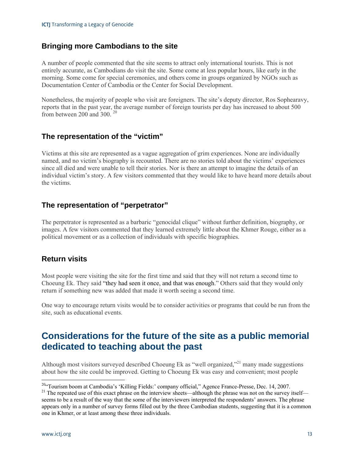### **Bringing more Cambodians to the site**

A number of people commented that the site seems to attract only international tourists. This is not entirely accurate, as Cambodians do visit the site. Some come at less popular hours, like early in the morning. Some come for special ceremonies, and others come in groups organized by NGOs such as Documentation Center of Cambodia or the Center for Social Development.

Nonetheless, the majority of people who visit are foreigners. The site's deputy director, Ros Sophearavy, reports that in the past year, the average number of foreign tourists per day has increased to about 500 from between 200 and 300. <sup>20</sup>

### **The representation of the "victim"**

Victims at this site are represented as a vague aggregation of grim experiences. None are individually named, and no victim's biography is recounted. There are no stories told about the victims' experiences since all died and were unable to tell their stories. Nor is there an attempt to imagine the details of an individual victim's story. A few visitors commented that they would like to have heard more details about the victims.

# **The representation of "perpetrator"**

The perpetrator is represented as a barbaric "genocidal clique" without further definition, biography, or images. A few visitors commented that they learned extremely little about the Khmer Rouge, either as a political movement or as a collection of individuals with specific biographies.

### **Return visits**

Most people were visiting the site for the first time and said that they will not return a second time to Choeung Ek. They said "they had seen it once, and that was enough." Others said that they would only return if something new was added that made it worth seeing a second time.

One way to encourage return visits would be to consider activities or programs that could be run from the site, such as educational events.

# **Considerations for the future of the site as a public memorial dedicated to teaching about the past**

Although most visitors surveyed described Choeung Ek as "well organized,"<sup>21</sup> many made suggestions about how the site could be improved. Getting to Choeung Ek was easy and convenient; most people

<sup>&</sup>lt;sup>20"</sup>Tourism boom at Cambodia's 'Killing Fields:' company official," Agence France-Presse, Dec. 14, 2007.<br><sup>21</sup> The repeated use of this exact phrase on the interview sheets—although the phrase was not on the survey itself

seems to be a result of the way that the some of the interviewers interpreted the respondents' answers. The phrase appears only in a number of survey forms filled out by the three Cambodian students, suggesting that it is a common one in Khmer, or at least among these three individuals.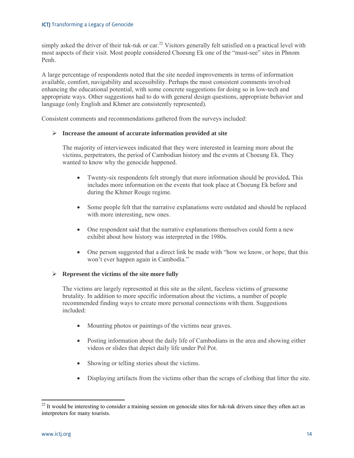simply asked the driver of their tuk-tuk or car.<sup>22</sup> Visitors generally felt satisfied on a practical level with most aspects of their visit. Most people considered Choeung Ek one of the "must-see" sites in Phnom Penh.

A large percentage of respondents noted that the site needed improvements in terms of information available, comfort, navigability and accessibility. Perhaps the most consistent comments involved enhancing the educational potential, with some concrete suggestions for doing so in low-tech and appropriate ways. Other suggestions had to do with general design questions, appropriate behavior and language (only English and Khmer are consistently represented).

Consistent comments and recommendations gathered from the surveys included:

#### **Increase the amount of accurate information provided at site**

The majority of interviewees indicated that they were interested in learning more about the victims, perpetrators, the period of Cambodian history and the events at Choeung Ek. They wanted to know why the genocide happened.

- Twenty-six respondents felt strongly that more information should be provided*.* This includes more information on the events that took place at Choeung Ek before and during the Khmer Rouge regime.
- Some people felt that the narrative explanations were outdated and should be replaced with more interesting, new ones.
- One respondent said that the narrative explanations themselves could form a new exhibit about how history was interpreted in the 1980s.
- One person suggested that a direct link be made with "how we know, or hope, that this won't ever happen again in Cambodia."

#### **Represent the victims of the site more fully**

The victims are largely represented at this site as the silent, faceless victims of gruesome brutality. In addition to more specific information about the victims, a number of people recommended finding ways to create more personal connections with them. Suggestions included:

- Mounting photos or paintings of the victims near graves.
- Posting information about the daily life of Cambodians in the area and showing either videos or slides that depict daily life under Pol Pot.
- Showing or telling stories about the victims.
- Displaying artifacts from the victims other than the scraps of clothing that litter the site.

 $22$  It would be interesting to consider a training session on genocide sites for tuk-tuk drivers since they often act as interpreters for many tourists.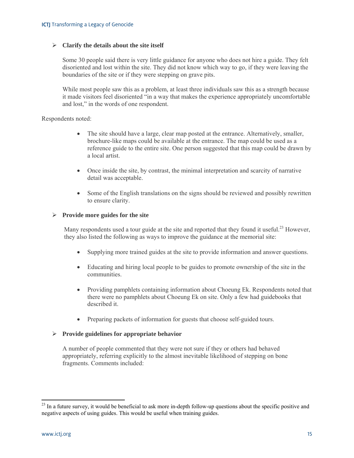#### **Clarify the details about the site itself**

Some 30 people said there is very little guidance for anyone who does not hire a guide. They felt disoriented and lost within the site. They did not know which way to go, if they were leaving the boundaries of the site or if they were stepping on grave pits.

While most people saw this as a problem, at least three individuals saw this as a strength because it made visitors feel disoriented "in a way that makes the experience appropriately uncomfortable and lost," in the words of one respondent.

Respondents noted:

- The site should have a large, clear map posted at the entrance. Alternatively, smaller, brochure-like maps could be available at the entrance. The map could be used as a reference guide to the entire site. One person suggested that this map could be drawn by a local artist.
- Once inside the site, by contrast, the minimal interpretation and scarcity of narrative detail was acceptable.
- Some of the English translations on the signs should be reviewed and possibly rewritten to ensure clarity.

#### **Provide more guides for the site**

Many respondents used a tour guide at the site and reported that they found it useful.<sup>23</sup> However. they also listed the following as ways to improve the guidance at the memorial site:

- Supplying more trained guides at the site to provide information and answer questions.
- Educating and hiring local people to be guides to promote ownership of the site in the communities.
- Providing pamphlets containing information about Choeung Ek. Respondents noted that there were no pamphlets about Choeung Ek on site. Only a few had guidebooks that described it.
- Preparing packets of information for guests that choose self-guided tours.

#### **Provide guidelines for appropriate behavior**

A number of people commented that they were not sure if they or others had behaved appropriately, referring explicitly to the almost inevitable likelihood of stepping on bone fragments. Comments included:

 $2<sup>23</sup>$  In a future survey, it would be beneficial to ask more in-depth follow-up questions about the specific positive and negative aspects of using guides. This would be useful when training guides.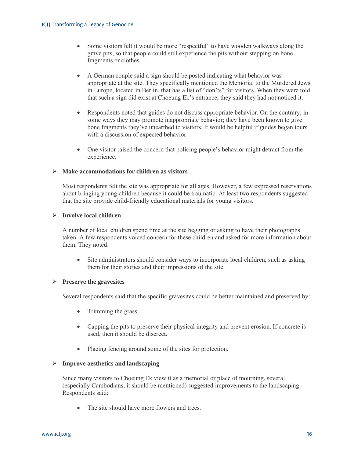- Some visitors felt it would be more "respectful" to have wooden walkways along the grave pits, so that people could still experience the pits without stepping on bone fragments or clothes.
- A German couple said a sign should be posted indicating what behavior was appropriate at the site. They specifically mentioned the Memorial to the Murdered Jews in Europe, located in Berlin, that has a list of "don'ts" for visitors. When they were told that such a sign did exist at Choeung Ek's entrance, they said they had not noticed it.
- Respondents noted that guides do not discuss appropriate behavior. On the contrary, in some ways they may promote inappropriate behavior; they have been known to give bone fragments they've unearthed to visitors. It would be helpful if guides began tours with a discussion of expected behavior.
- One visitor raised the concern that policing people's behavior might detract from the experience.

#### **Make accommodations for children as visitors**

Most respondents felt the site was appropriate for all ages. However, a few expressed reservations about bringing young children because it could be traumatic. At least two respondents suggested that the site provide child-friendly educational materials for young visitors.

#### **Involve local children**

A number of local children spend time at the site begging or asking to have their photographs taken. A few respondents voiced concern for these children and asked for more information about them. They noted:

• Site administrators should consider ways to incorporate local children, such as asking them for their stories and their impressions of the site.

#### **Preserve the gravesites**

Several respondents said that the specific gravesites could be better maintained and preserved by:

- Trimming the grass.
- Capping the pits to preserve their physical integrity and prevent erosion. If concrete is used, then it should be discreet.
- Placing fencing around some of the sites for protection.

#### **Improve aesthetics and landscaping**

Since many visitors to Choeung Ek view it as a memorial or place of mourning, several (especially Cambodians, it should be mentioned) suggested improvements to the landscaping. Respondents said:

• The site should have more flowers and trees.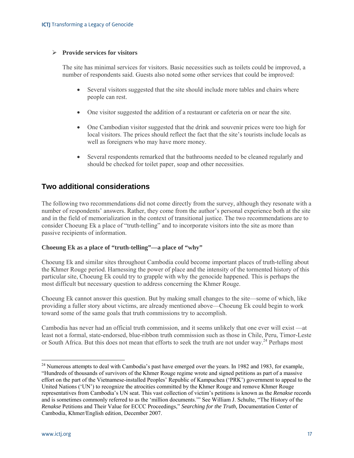#### **Provide services for visitors**

The site has minimal services for visitors. Basic necessities such as toilets could be improved, a number of respondents said. Guests also noted some other services that could be improved:

- Several visitors suggested that the site should include more tables and chairs where people can rest.
- One visitor suggested the addition of a restaurant or cafeteria on or near the site.
- One Cambodian visitor suggested that the drink and souvenir prices were too high for local visitors. The prices should reflect the fact that the site's tourists include locals as well as foreigners who may have more money.
- Several respondents remarked that the bathrooms needed to be cleaned regularly and should be checked for toilet paper, soap and other necessities.

### **Two additional considerations**

The following two recommendations did not come directly from the survey, although they resonate with a number of respondents' answers. Rather, they come from the author's personal experience both at the site and in the field of memorialization in the context of transitional justice. The two recommendations are to consider Choeung Ek a place of "truth-telling" and to incorporate visitors into the site as more than passive recipients of information.

#### **Choeung Ek as a place of "truth-telling"—a place of "why"**

Choeung Ek and similar sites throughout Cambodia could become important places of truth-telling about the Khmer Rouge period. Harnessing the power of place and the intensity of the tormented history of this particular site, Choeung Ek could try to grapple with why the genocide happened. This is perhaps the most difficult but necessary question to address concerning the Khmer Rouge.

Choeung Ek cannot answer this question. But by making small changes to the site—some of which, like providing a fuller story about victims, are already mentioned above—Choeung Ek could begin to work toward some of the same goals that truth commissions try to accomplish.

Cambodia has never had an official truth commission, and it seems unlikely that one ever will exist —at least not a formal, state-endorsed, blue-ribbon truth commission such as those in Chile, Peru, Timor-Leste or South Africa. But this does not mean that efforts to seek the truth are not under way.<sup>24</sup> Perhaps most

<sup>&</sup>lt;sup>24</sup> Numerous attempts to deal with Cambodia's past have emerged over the years. In 1982 and 1983, for example, "Hundreds of thousands of survivors of the Khmer Rouge regime wrote and signed petitions as part of a massive effort on the part of the Vietnamese-installed Peoples' Republic of Kampuchea ('PRK') government to appeal to the United Nations ('UN') to recognize the atrocities committed by the Khmer Rouge and remove Khmer Rouge representatives from Cambodia's UN seat. This vast collection of victim's petitions is known as the *Renakse* records and is sometimes commonly referred to as the 'million documents.'" See William J. Schulte, "The History of the *Renakse* Petitions and Their Value for ECCC Proceedings," *Searching for the Truth,* Documentation Center of Cambodia, Khmer/English edition, December 2007.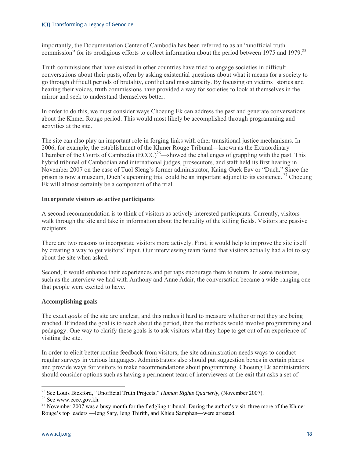importantly, the Documentation Center of Cambodia has been referred to as an "unofficial truth commission" for its prodigious efforts to collect information about the period between 1975 and 1979.<sup>25</sup>

Truth commissions that have existed in other countries have tried to engage societies in difficult conversations about their pasts, often by asking existential questions about what it means for a society to go through difficult periods of brutality, conflict and mass atrocity. By focusing on victims' stories and hearing their voices, truth commissions have provided a way for societies to look at themselves in the mirror and seek to understand themselves better.

In order to do this, we must consider ways Choeung Ek can address the past and generate conversations about the Khmer Rouge period. This would most likely be accomplished through programming and activities at the site.

The site can also play an important role in forging links with other transitional justice mechanisms. In 2006, for example, the establishment of the Khmer Rouge Tribunal—known as the Extraordinary Chamber of the Courts of Cambodia (ECCC)<sup>26</sup>—showed the challenges of grappling with the past. This hybrid tribunal of Cambodian and international judges, prosecutors, and staff held its first hearing in November 2007 on the case of Tuol Sleng's former administrator, Kaing Guek Eav or "Duch." Since the prison is now a museum, Duch's upcoming trial could be an important adjunct to its existence.<sup>27</sup> Choeung Ek will almost certainly be a component of the trial.

#### **Incorporate visitors as active participants**

A second recommendation is to think of visitors as actively interested participants. Currently, visitors walk through the site and take in information about the brutality of the killing fields. Visitors are passive recipients.

There are two reasons to incorporate visitors more actively. First, it would help to improve the site itself by creating a way to get visitors' input. Our interviewing team found that visitors actually had a lot to say about the site when asked.

Second, it would enhance their experiences and perhaps encourage them to return. In some instances, such as the interview we had with Anthony and Anne Adair, the conversation became a wide-ranging one that people were excited to have.

#### **Accomplishing goals**

The exact *goals* of the site are unclear, and this makes it hard to measure whether or not they are being reached. If indeed the goal is to teach about the period, then the methods would involve programming and pedagogy. One way to clarify these goals is to ask visitors what they hope to get out of an experience of visiting the site.

In order to elicit better routine feedback from visitors, the site administration needs ways to conduct regular surveys in various languages. Administrators also should put suggestion boxes in certain places and provide ways for visitors to make recommendations about programming. Choeung Ek administrators should consider options such as having a permanent team of interviewers at the exit that asks a set of

<sup>&</sup>lt;sup>25</sup> See Louis Bickford, "Unofficial Truth Projects," *Human Rights Quarterly*, (November 2007).<br><sup>26</sup> See www.eccc.gov.kh.

<sup>&</sup>lt;sup>27</sup> November 2007 was a busy month for the fledgling tribunal. During the author's visit, three more of the Khmer Rouge's top leaders —Ieng Sary, Ieng Thirith, and Khieu Samphan—were arrested.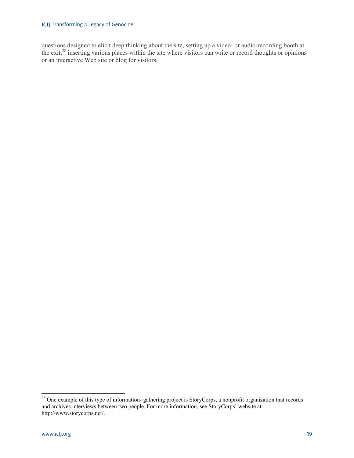#### **ICTJ** Transforming a Legacy of Genocide

questions designed to elicit deep thinking about the site, setting up a video- or audio-recording booth at the exit,<sup>28</sup> inserting various places within the site where visitors can write or record thoughts or opinions or an interactive Web site or blog for visitors.

 $28$  One example of this type of information-gathering project is StoryCorps, a nonprofit organization that records and archives interviews between two people. For more information, see StoryCorps' website at http://www.storycorps.net/.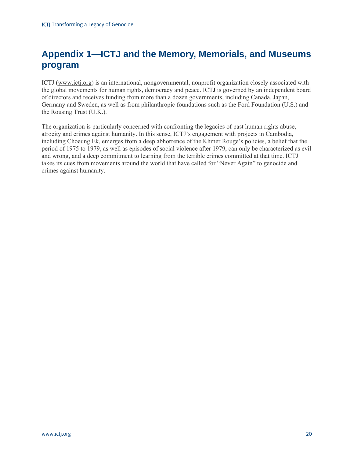# **Appendix 1—ICTJ and the Memory, Memorials, and Museums program**

ICTJ (www.ictj.org) is an international, nongovernmental, nonprofit organization closely associated with the global movements for human rights, democracy and peace. ICTJ is governed by an independent board of directors and receives funding from more than a dozen governments, including Canada, Japan, Germany and Sweden, as well as from philanthropic foundations such as the Ford Foundation (U.S.) and the Rousing Trust (U.K.).

The organization is particularly concerned with confronting the legacies of past human rights abuse, atrocity and crimes against humanity. In this sense, ICTJ's engagement with projects in Cambodia, including Choeung Ek, emerges from a deep abhorrence of the Khmer Rouge's policies, a belief that the period of 1975 to 1979, as well as episodes of social violence after 1979, can only be characterized as evil and wrong, and a deep commitment to learning from the terrible crimes committed at that time. ICTJ takes its cues from movements around the world that have called for "Never Again" to genocide and crimes against humanity.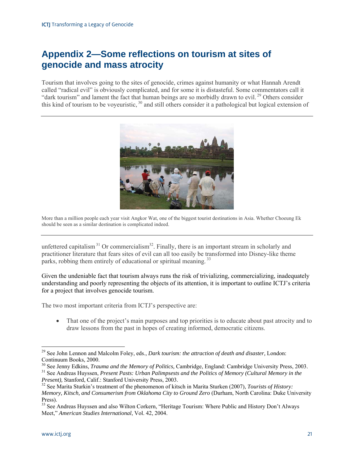# **Appendix 2—Some reflections on tourism at sites of genocide and mass atrocity**

Tourism that involves going to the sites of genocide, crimes against humanity or what Hannah Arendt called "radical evil" is obviously complicated, and for some it is distasteful. Some commentators call it "dark tourism" and lament the fact that human beings are so morbidly drawn to evil.<sup>29</sup> Others consider this kind of tourism to be voyeuristic, <sup>30</sup> and still others consider it a pathological but logical extension of



More than a million people each year visit Angkor Wat, one of the biggest tourist destinations in Asia. Whether Choeung Ek should be seen as a similar destination is complicated indeed.

unfettered capitalism<sup>31</sup> Or commercialism<sup>32</sup>. Finally, there is an important stream in scholarly and practitioner literature that fears sites of evil can all too easily be transformed into Disney-like theme parks, robbing them entirely of educational or spiritual meaning.<sup>33</sup>

Given the undeniable fact that tourism always runs the risk of trivializing, commercializing, inadequately understanding and poorly representing the objects of its attention, it is important to outline ICTJ's criteria for a project that involves genocide tourism.

The two most important criteria from ICTJ's perspective are:

 That one of the project's main purposes and top priorities is to educate about past atrocity and to draw lessons from the past in hopes of creating informed, democratic citizens.

<sup>29</sup> See John Lennon and Malcolm Foley, eds., *Dark tourism: the attraction of death and disaster,* London: Continuum Books, 2000.<br><sup>30</sup> See Jenny Edkins, *Trauma and the Memory of Politics*, Cambridge, England: Cambridge University Press, 2003.

 $31$  See Andreas Huyssen, *Present Pasts: Urban Palimpsests and the Politics of Memory (Cultural Memory in the Present)*, Stanford, Calif.: Stanford University Press, 2003.

<sup>&</sup>lt;sup>32</sup> See Marita Sturkin's treatment of the phenomenon of kitsch in Marita Sturken (2007), *Tourists of History*: *Memory, Kitsch, and Consumerism from Oklahoma City to Ground Zero* (Durham, North Carolina: Duke University Press).

<sup>&</sup>lt;sup>33</sup> See Andreas Huyssen and also Wilton Corkern, "Heritage Tourism: Where Public and History Don't Always Meet," *American Studies International*, Vol. 42, 2004.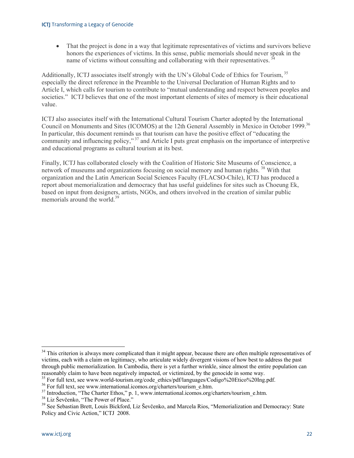That the project is done in a way that legitimate representatives of victims and survivors believe honors the experiences of victims. In this sense, public memorials should never speak in the name of victims without consulting and collaborating with their representatives.<sup>34</sup>

Additionally, ICTJ associates itself strongly with the UN's Global Code of Ethics for Tourism, <sup>35</sup> especially the direct reference in the Preamble to the Universal Declaration of Human Rights and to Article I, which calls for tourism to contribute to "mutual understanding and respect between peoples and societies." ICTJ believes that one of the most important elements of sites of memory is their educational value.

ICTJ also associates itself with the International Cultural Tourism Charter adopted by the International Council on Monuments and Sites (ICOMOS) at the 12th General Assembly in Mexico in October 1999.<sup>36</sup> In particular, this document reminds us that tourism can have the positive effect of "educating the community and influencing policy," 37 and Article I puts great emphasis on the importance of interpretive and educational programs as cultural tourism at its best.

Finally, ICTJ has collaborated closely with the Coalition of Historic Site Museums of Conscience, a network of museums and organizations focusing on social memory and human rights.<sup>38</sup> With that organization and the Latin American Social Sciences Faculty (FLACSO-Chile), ICTJ has produced a report about memorialization and democracy that has useful guidelines for sites such as Choeung Ek, based on input from designers, artists, NGOs, and others involved in the creation of similar public memorials around the world.<sup>39</sup>

<sup>&</sup>lt;sup>34</sup> This criterion is always more complicated than it might appear, because there are often multiple representatives of victims, each with a claim on legitimacy, who articulate widely divergent visions of how best to address the past through public memorialization. In Cambodia, there is yet a further wrinkle, since almost the entire population can reasonably claim to have been negatively impacted, or victimized, by the genocide in some way.<br><sup>35</sup> For full text, see www.world-tourism.org/code\_ethics/pdf/languages/Codigo%20Etico%20Ing.pdf.<br><sup>36</sup> For full text, see www.i

<sup>&</sup>lt;sup>37</sup> Introduction, "The Charter Ethos," p. 1, www.international.icomos.org/charters/tourism\_e.htm.<br><sup>38</sup> Liz Ševčenko, "The Power of Place."<br><sup>39</sup> See Sebastian Brett, Louis Bickford, Liz Ševčenko, and Marcela Rios, "Memori Policy and Civic Action," ICTJ 2008.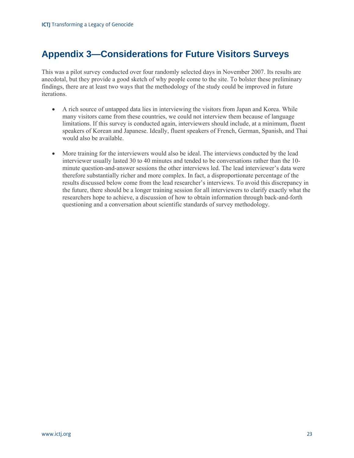# **Appendix 3—Considerations for Future Visitors Surveys**

This was a pilot survey conducted over four randomly selected days in November 2007. Its results are anecdotal, but they provide a good sketch of why people come to the site. To bolster these preliminary findings, there are at least two ways that the methodology of the study could be improved in future iterations.

- A rich source of untapped data lies in interviewing the visitors from Japan and Korea. While many visitors came from these countries, we could not interview them because of language limitations. If this survey is conducted again, interviewers should include, at a minimum, fluent speakers of Korean and Japanese. Ideally, fluent speakers of French, German, Spanish, and Thai would also be available.
- More training for the interviewers would also be ideal. The interviews conducted by the lead interviewer usually lasted 30 to 40 minutes and tended to be conversations rather than the 10 minute question-and-answer sessions the other interviews led. The lead interviewer's data were therefore substantially richer and more complex. In fact, a disproportionate percentage of the results discussed below come from the lead researcher's interviews. To avoid this discrepancy in the future, there should be a longer training session for all interviewers to clarify exactly what the researchers hope to achieve, a discussion of how to obtain information through back-and-forth questioning and a conversation about scientific standards of survey methodology.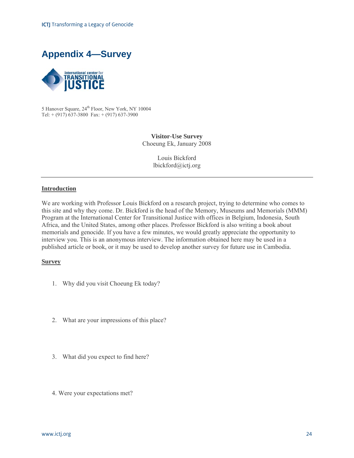



5 Hanover Square,  $24<sup>th</sup>$  Floor, New York, NY 10004 Tel:  $+ (917)$  637-3800 Fax:  $+ (917)$  637-3900

> **Visitor-Use Survey**  Choeung Ek, January 2008

> > Louis Bickford lbickford@ictj.org

#### **Introduction**

We are working with Professor Louis Bickford on a research project, trying to determine who comes to this site and why they come. Dr. Bickford is the head of the Memory, Museums and Memorials (MMM) Program at the International Center for Transitional Justice with offices in Belgium, Indonesia, South Africa, and the United States, among other places. Professor Bickford is also writing a book about memorials and genocide. If you have a few minutes, we would greatly appreciate the opportunity to interview you. This is an anonymous interview. The information obtained here may be used in a published article or book, or it may be used to develop another survey for future use in Cambodia.

#### **Survey**

- 1. Why did you visit Choeung Ek today?
- 2. What are your impressions of this place?
- 3. What did you expect to find here?
- 4. Were your expectations met?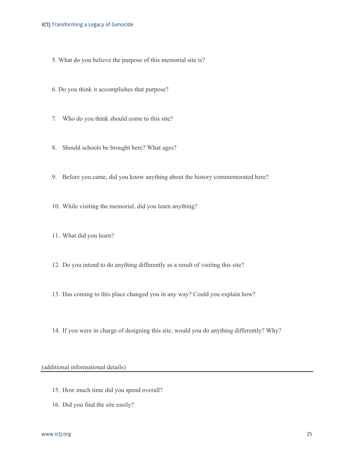#### **ICTJ** Transforming a Legacy of Genocide

- 5. What do you believe the purpose of this memorial site is?
- 6. Do you think it accomplishes that purpose?
- 7. Who do you think should come to this site?
- 8. Should schools be brought here? What ages?
- 9. Before you came, did you know anything about the history commemorated here?
- 10. While visiting the memorial, did you learn anything?
- 11. What did you learn?
- 12. Do you intend to do anything differently as a result of visiting this site?
- 13. Has coming to this place changed you in any way? Could you explain how?
- 14. If you were in charge of designing this site, would you do anything differently? Why?

(additional informational details)

- 15. How much time did you spend overall?
- 16. Did you find the site easily?